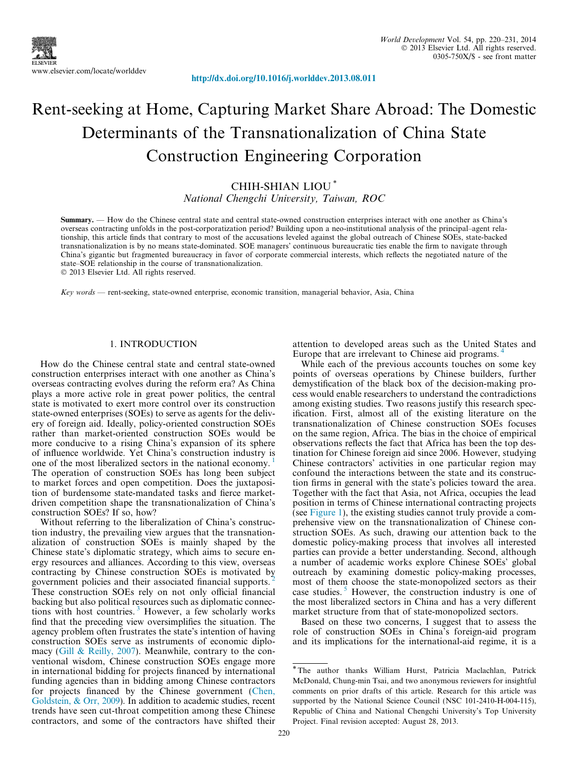

<http://dx.doi.org/10.1016/j.worlddev.2013.08.011>

# Rent-seeking at Home, Capturing Market Share Abroad: The Domestic Determinants of the Transnationalization of China State Construction Engineering Corporation

### CHIH-SHIAN LIOU \* National Chengchi University, Taiwan, ROC

Summary. — How do the Chinese central state and central state-owned construction enterprises interact with one another as China's overseas contracting unfolds in the post-corporatization period? Building upon a neo-institutional analysis of the principal–agent relationship, this article finds that contrary to most of the accusations leveled against the global outreach of Chinese SOEs, state-backed transnationalization is by no means state-dominated. SOE managers' continuous bureaucratic ties enable the firm to navigate through China's gigantic but fragmented bureaucracy in favor of corporate commercial interests, which reflects the negotiated nature of the state–SOE relationship in the course of transnationalization. 2013 Elsevier Ltd. All rights reserved.

Key words — rent-seeking, state-owned enterprise, economic transition, managerial behavior, Asia, China

#### 1. INTRODUCTION

How do the Chinese central state and central state-owned construction enterprises interact with one another as China's overseas contracting evolves during the reform era? As China plays a more active role in great power politics, the central state is motivated to exert more control over its construction state-owned enterprises (SOEs) to serve as agents for the delivery of foreign aid. Ideally, policy-oriented construction SOEs rather than market-oriented construction SOEs would be more conducive to a rising China's expansion of its sphere of influence worldwide. Yet China's construction industry is one of the most liberalized sectors in the national economy. The operation of construction SOEs has long been subject to market forces and open competition. Does the juxtaposition of burdensome state-mandated tasks and fierce marketdriven competition shape the transnationalization of China's construction SOEs? If so, how?

Without referring to the liberalization of China's construction industry, the prevailing view argues that the transnationalization of construction SOEs is mainly shaped by the Chinese state's diplomatic strategy, which aims to secure energy resources and alliances. According to this view, overseas contracting by Chinese construction SOEs is motivated by government policies and their associated financial supports.<sup>2</sup> These construction SOEs rely on not only official financial backing but also political resources such as diplomatic connections with host countries. <sup>3</sup> However, a few scholarly works find that the preceding view oversimplifies the situation. The agency problem often frustrates the state's intention of having construction SOEs serve as instruments of economic diplomacy ([Gill & Reilly, 2007\)](#page--1-0). Meanwhile, contrary to the conventional wisdom, Chinese construction SOEs engage more in international bidding for projects financed by international funding agencies than in bidding among Chinese contractors for projects financed by the Chinese government ([Chen,](#page--1-0) [Goldstein, & Orr, 2009\)](#page--1-0). In addition to academic studies, recent trends have seen cut-throat competition among these Chinese contractors, and some of the contractors have shifted their attention to developed areas such as the United States and Europe that are irrelevant to Chinese aid programs. <sup>4</sup>

While each of the previous accounts touches on some key points of overseas operations by Chinese builders, further demystification of the black box of the decision-making process would enable researchers to understand the contradictions among existing studies. Two reasons justify this research specification. First, almost all of the existing literature on the transnationalization of Chinese construction SOEs focuses on the same region, Africa. The bias in the choice of empirical observations reflects the fact that Africa has been the top destination for Chinese foreign aid since 2006. However, studying Chinese contractors' activities in one particular region may confound the interactions between the state and its construction firms in general with the state's policies toward the area. Together with the fact that Asia, not Africa, occupies the lead position in terms of Chinese international contracting projects (see [Figure 1](#page-1-0)), the existing studies cannot truly provide a comprehensive view on the transnationalization of Chinese construction SOEs. As such, drawing our attention back to the domestic policy-making process that involves all interested parties can provide a better understanding. Second, although a number of academic works explore Chinese SOEs' global outreach by examining domestic policy-making processes, most of them choose the state-monopolized sectors as their case studies.<sup>5</sup> However, the construction industry is one of the most liberalized sectors in China and has a very different market structure from that of state-monopolized sectors.

Based on these two concerns, I suggest that to assess the role of construction SOEs in China's foreign-aid program and its implications for the international-aid regime, it is a

<sup>\*</sup>The author thanks William Hurst, Patricia Maclachlan, Patrick McDonald, Chung-min Tsai, and two anonymous reviewers for insightful comments on prior drafts of this article. Research for this article was supported by the National Science Council (NSC 101-2410-H-004-115), Republic of China and National Chengchi University's Top University Project. Final revision accepted: August 28, 2013.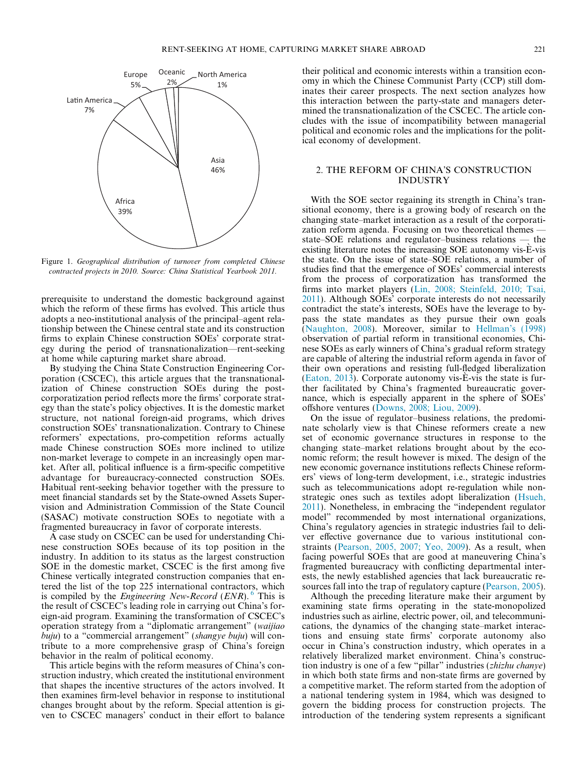<span id="page-1-0"></span>

Figure 1. Geographical distribution of turnover from completed Chinese contracted projects in 2010. Source: China Statistical Yearbook 2011.

prerequisite to understand the domestic background against which the reform of these firms has evolved. This article thus adopts a neo-institutional analysis of the principal–agent relationship between the Chinese central state and its construction firms to explain Chinese construction SOEs' corporate strategy during the period of transnationalization—rent-seeking at home while capturing market share abroad.

By studying the China State Construction Engineering Corporation (CSCEC), this article argues that the transnationalization of Chinese construction SOEs during the postcorporatization period reflects more the firms' corporate strategy than the state's policy objectives. It is the domestic market structure, not national foreign-aid programs, which drives construction SOEs' transnationalization. Contrary to Chinese reformers' expectations, pro-competition reforms actually made Chinese construction SOEs more inclined to utilize non-market leverage to compete in an increasingly open market. After all, political influence is a firm-specific competitive advantage for bureaucracy-connected construction SOEs. Habitual rent-seeking behavior together with the pressure to meet financial standards set by the State-owned Assets Supervision and Administration Commission of the State Council (SASAC) motivate construction SOEs to negotiate with a fragmented bureaucracy in favor of corporate interests.

A case study on CSCEC can be used for understanding Chinese construction SOEs because of its top position in the industry. In addition to its status as the largest construction SOE in the domestic market, CSCEC is the first among five Chinese vertically integrated construction companies that entered the list of the top 225 international contractors, which is compiled by the *Engineering New-Record* (*ENR*). <sup>6</sup> This is the result of CSCEC's leading role in carrying out China's foreign-aid program. Examining the transformation of CSCEC's operation strategy from a "diplomatic arrangement" (waijiao buju) to a "commercial arrangement" (shangye buju) will contribute to a more comprehensive grasp of China's foreign behavior in the realm of political economy.

This article begins with the reform measures of China's construction industry, which created the institutional environment that shapes the incentive structures of the actors involved. It then examines firm-level behavior in response to institutional changes brought about by the reform. Special attention is given to CSCEC managers' conduct in their effort to balance

their political and economic interests within a transition economy in which the Chinese Communist Party (CCP) still dominates their career prospects. The next section analyzes how this interaction between the party-state and managers determined the transnationalization of the CSCEC. The article concludes with the issue of incompatibility between managerial political and economic roles and the implications for the political economy of development.

#### 2. THE REFORM OF CHINA'S CONSTRUCTION INDUSTRY

With the SOE sector regaining its strength in China's transitional economy, there is a growing body of research on the changing state–market interaction as a result of the corporatization reform agenda. Focusing on two theoretical themes – state–SOE relations and regulator–business relations — the existing literature notes the increasing SOE autonomy vis-E-vis the state. On the issue of state–SOE relations, a number of studies find that the emergence of SOEs' commercial interests from the process of corporatization has transformed the firms into market players ([Lin, 2008; Steinfeld, 2010; Tsai,](#page--1-0) [2011](#page--1-0)). Although SOEs' corporate interests do not necessarily contradict the state's interests, SOEs have the leverage to bypass the state mandates as they pursue their own goals ([Naughton, 2008](#page--1-0)). Moreover, similar to [Hellman's \(1998\)](#page--1-0) observation of partial reform in transitional economies, Chinese SOEs as early winners of China's gradual reform strategy are capable of altering the industrial reform agenda in favor of their own operations and resisting full-fledged liberalization  $(Eton, 2013)$ . Corporate autonomy vis-E-vis the state is further facilitated by China's fragmented bureaucratic governance, which is especially apparent in the sphere of SOEs' offshore ventures [\(Downs, 2008; Liou, 2009](#page--1-0)).

On the issue of regulator–business relations, the predominate scholarly view is that Chinese reformers create a new set of economic governance structures in response to the changing state–market relations brought about by the economic reform; the result however is mixed. The design of the new economic governance institutions reflects Chinese reformers' views of long-term development, i.e., strategic industries such as telecommunications adopt re-regulation while nonstrategic ones such as textiles adopt liberalization ([Hsueh,](#page--1-0) [2011](#page--1-0)). Nonetheless, in embracing the "independent regulator model" recommended by most international organizations, China's regulatory agencies in strategic industries fail to deliver effective governance due to various institutional constraints [\(Pearson, 2005, 2007; Yeo, 2009\)](#page--1-0). As a result, when facing powerful SOEs that are good at maneuvering China's fragmented bureaucracy with conflicting departmental interests, the newly established agencies that lack bureaucratic resources fall into the trap of regulatory capture ([Pearson, 2005\)](#page--1-0).

Although the preceding literature make their argument by examining state firms operating in the state-monopolized industries such as airline, electric power, oil, and telecommunications, the dynamics of the changing state–market interactions and ensuing state firms' corporate autonomy also occur in China's construction industry, which operates in a relatively liberalized market environment. China's construction industry is one of a few "pillar" industries (zhizhu chanye) in which both state firms and non-state firms are governed by a competitive market. The reform started from the adoption of a national tendering system in 1984, which was designed to govern the bidding process for construction projects. The introduction of the tendering system represents a significant